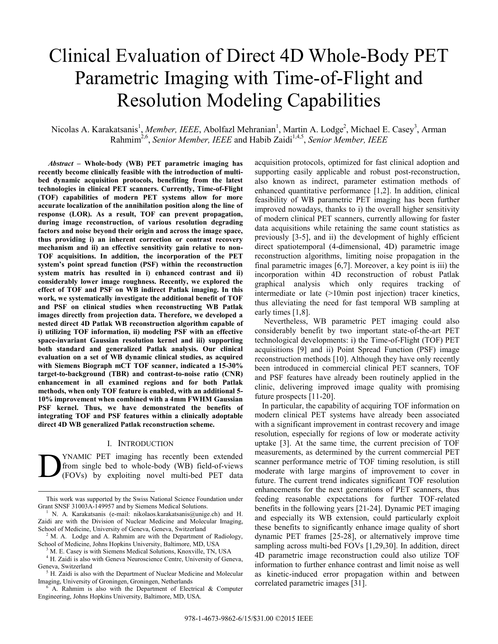# Clinical Evaluation of Direct 4D Whole-Body PET Parametric Imaging with Time-of-Flight and Resolution Modeling Capabilities

Nicolas A. Karakatsanis<sup>1</sup>, *Member, IEEE*, Abolfazl Mehranian<sup>1</sup>, Martin A. Lodge<sup>2</sup>, Michael E. Casey<sup>3</sup>, Arman Rahmim2,6, *Senior Member, IEEE* and Habib Zaidi1,4,5, *Senior Member, IEEE*

*Abstract* **– Whole-body (WB) PET parametric imaging has recently become clinically feasible with the introduction of multibed dynamic acquisition protocols, benefiting from the latest technologies in clinical PET scanners. Currently, Time-of-Flight (TOF) capabilities of modern PET systems allow for more accurate localization of the annihilation position along the line of response (LOR). As a result, TOF can prevent propagation, during image reconstruction, of various resolution degrading factors and noise beyond their origin and across the image space, thus providing i) an inherent correction or contrast recovery mechanism and ii) an effective sensitivity gain relative to non-TOF acquisitions. In addition, the incorporation of the PET system's point spread function (PSF) within the reconstruction system matrix has resulted in i) enhanced contrast and ii) considerably lower image roughness. Recently, we explored the effect of TOF and PSF on WB indirect Patlak imaging. In this work, we systematically investigate the additional benefit of TOF and PSF on clinical studies when reconstructing WB Patlak images directly from projection data. Therefore, we developed a nested direct 4D Patlak WB reconstruction algorithm capable of i) utilizing TOF information, ii) modeling PSF with an effective space-invariant Gaussian resolution kernel and iii) supporting both standard and generalized Patlak analysis. Our clinical evaluation on a set of WB dynamic clinical studies, as acquired with Siemens Biograph mCT TOF scanner, indicated a 15-30% target-to-background (TBR) and contrast-to-noise ratio (CNR) enhancement in all examined regions and for both Patlak methods, when only TOF feature is enabled, with an additional 5- 10% improvement when combined with a 4mm FWHM Gaussian PSF kernel. Thus, we have demonstrated the benefits of integrating TOF and PSF features within a clinically adoptable direct 4D WB generalized Patlak reconstruction scheme.** 

### I. INTRODUCTION

YNAMIC PET imaging has recently been extended from single bed to whole-body (WB) field-of-views (FOVs) by exploiting novel multi-bed PET data D

acquisition protocols, optimized for fast clinical adoption and supporting easily applicable and robust post-reconstruction, also known as indirect, parameter estimation methods of enhanced quantitative performance [1,2]. In addition, clinical feasibility of WB parametric PET imaging has been further improved nowadays, thanks to i) the overall higher sensitivity of modern clinical PET scanners, currently allowing for faster data acquisitions while retaining the same count statistics as previously [3-5], and ii) the development of highly efficient direct spatiotemporal (4-dimensional, 4D) parametric image reconstruction algorithms, limiting noise propagation in the final parametric images [6,7]. Moreover, a key point is iii) the incorporation within 4D reconstruction of robust Patlak graphical analysis which only requires tracking of intermediate or late (>10min post injection) tracer kinetics, thus alleviating the need for fast temporal WB sampling at early times [1,8].

 Nevertheless, WB parametric PET imaging could also considerably benefit by two important state-of-the-art PET technological developments: i) the Time-of-Flight (TOF) PET acquisitions [9] and ii) Point Spread Function (PSF) image reconstruction methods [10]. Although they have only recently been introduced in commercial clinical PET scanners, TOF and PSF features have already been routinely applied in the clinic, delivering improved image quality with promising future prospects [11-20].

In particular, the capability of acquiring TOF information on modern clinical PET systems have already been associated with a significant improvement in contrast recovery and image resolution, especially for regions of low or moderate activity uptake [3]. At the same time, the current precision of TOF measurements, as determined by the current commercial PET scanner performance metric of TOF timing resolution, is still moderate with large margins of improvement to cover in future. The current trend indicates significant TOF resolution enhancements for the next generations of PET scanners, thus feeding reasonable expectations for further TOF-related benefits in the following years [21-24]. Dynamic PET imaging and especially its WB extension, could particularly exploit these benefits to significantly enhance image quality of short dynamic PET frames [25-28], or alternatively improve time sampling across multi-bed FOVs [1,29,30]. In addition, direct 4D parametric image reconstruction could also utilize TOF information to further enhance contrast and limit noise as well as kinetic-induced error propagation within and between correlated parametric images [31].

This work was supported by the Swiss National Science Foundation under Grant SNSF 31003A-149957 and by Siemens Medical Solutions. 1

<sup>&</sup>lt;sup>1</sup> N. A. Karakatsanis (e-mail: nikolaos.karakatsanis@unige.ch) and H. Zaidi are with the Division of Nuclear Medicine and Molecular Imaging, School of Medicine, University of Geneva, Geneva, Switzerland <sup>2</sup> M. A. Lodge and A. Rahmim are with the Department of Radiology,

School of Medicine, Johns Hopkins University, Baltimore, MD, USA 3

M. E. Casey is with Siemens Medical Solutions, Knoxville, TN, USA 4

<sup>&</sup>lt;sup>4</sup> H. Zaidi is also with Geneva Neuroscience Centre, University of Geneva, Geneva, Switzerland

 $<sup>5</sup>$  H. Zaidi is also with the Department of Nuclear Medicine and Molecular</sup> Imaging, University of Groningen, Groningen, Netherlands 6

A. Rahmim is also with the Department of Electrical & Computer Engineering, Johns Hopkins University, Baltimore, MD, USA.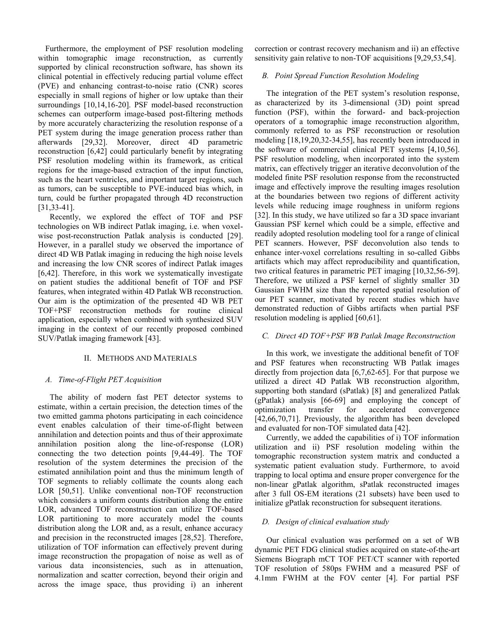Furthermore, the employment of PSF resolution modeling within tomographic image reconstruction, as currently supported by clinical reconstruction software, has shown its clinical potential in effectively reducing partial volume effect (PVE) and enhancing contrast-to-noise ratio (CNR) scores especially in small regions of higher or low uptake than their surroundings [10,14,16-20]. PSF model-based reconstruction schemes can outperform image-based post-filtering methods by more accurately characterizing the resolution response of a PET system during the image generation process rather than afterwards [29,32]. Moreover, direct 4D parametric reconstruction [6,42] could particularly benefit by integrating PSF resolution modeling within its framework, as critical regions for the image-based extraction of the input function, such as the heart ventricles, and important target regions, such as tumors, can be susceptible to PVE-induced bias which, in turn, could be further propagated through 4D reconstruction [31,33-41].

Recently, we explored the effect of TOF and PSF technologies on WB indirect Patlak imaging, i.e. when voxelwise post-reconstruction Patlak analysis is conducted [29]. However, in a parallel study we observed the importance of direct 4D WB Patlak imaging in reducing the high noise levels and increasing the low CNR scores of indirect Patlak images [6,42]. Therefore, in this work we systematically investigate on patient studies the additional benefit of TOF and PSF features, when integrated within 4D Patlak WB reconstruction. Our aim is the optimization of the presented 4D WB PET TOF+PSF reconstruction methods for routine clinical application, especially when combined with synthesized SUV imaging in the context of our recently proposed combined SUV/Patlak imaging framework [43].

## II. METHODS AND MATERIALS

#### *A. Time-of-Flight PET Acquisition*

The ability of modern fast PET detector systems to estimate, within a certain precision, the detection times of the two emitted gamma photons participating in each coincidence event enables calculation of their time-of-flight between annihilation and detection points and thus of their approximate annihilation position along the line-of-response (LOR) connecting the two detection points [9,44-49]. The TOF resolution of the system determines the precision of the estimated annihilation point and thus the minimum length of TOF segments to reliably collimate the counts along each LOR [50,51]. Unlike conventional non-TOF reconstruction which considers a uniform counts distribution along the entire LOR, advanced TOF reconstruction can utilize TOF-based LOR partitioning to more accurately model the counts distribution along the LOR and, as a result, enhance accuracy and precision in the reconstructed images [28,52]. Therefore, utilization of TOF information can effectively prevent during image reconstruction the propagation of noise as well as of various data inconsistencies, such as in attenuation, normalization and scatter correction, beyond their origin and across the image space, thus providing i) an inherent

correction or contrast recovery mechanism and ii) an effective sensitivity gain relative to non-TOF acquisitions [9,29,53,54].

## *B. Point Spread Function Resolution Modeling*

The integration of the PET system's resolution response, as characterized by its 3-dimensional (3D) point spread function (PSF), within the forward- and back-projection operators of a tomographic image reconstruction algorithm, commonly referred to as PSF reconstruction or resolution modeling [18,19,20,32-34,55], has recently been introduced in the software of commercial clinical PET systems [4,10,56]. PSF resolution modeling, when incorporated into the system matrix, can effectively trigger an iterative deconvolution of the modeled finite PSF resolution response from the reconstructed image and effectively improve the resulting images resolution at the boundaries between two regions of different activity levels while reducing image roughness in uniform regions [32]. In this study, we have utilized so far a 3D space invariant Gaussian PSF kernel which could be a simple, effective and readily adopted resolution modeling tool for a range of clinical PET scanners. However, PSF deconvolution also tends to enhance inter-voxel correlations resulting in so-called Gibbs artifacts which may affect reproducibility and quantification, two critical features in parametric PET imaging [10,32,56-59]. Therefore, we utilized a PSF kernel of slightly smaller 3D Gaussian FWHM size than the reported spatial resolution of our PET scanner, motivated by recent studies which have demonstrated reduction of Gibbs artifacts when partial PSF resolution modeling is applied [60,61].

## *C. Direct 4D TOF+PSF WB Patlak Image Reconstruction*

In this work, we investigate the additional benefit of TOF and PSF features when reconstructing WB Patlak images directly from projection data [6,7,62-65]. For that purpose we utilized a direct 4D Patlak WB reconstruction algorithm, supporting both standard (sPatlak) [8] and generalized Patlak (gPatlak) analysis [66-69] and employing the concept of optimization transfer for accelerated convergence [42,66,70,71]. Previously, the algorithm has been developed and evaluated for non-TOF simulated data [42].

Currently, we added the capabilities of i) TOF information utilization and ii) PSF resolution modeling within the tomographic reconstruction system matrix and conducted a systematic patient evaluation study. Furthermore, to avoid trapping to local optima and ensure proper convergence for the non-linear gPatlak algorithm, sPatlak reconstructed images after 3 full OS-EM iterations (21 subsets) have been used to initialize gPatlak reconstruction for subsequent iterations.

#### *D. Design of clinical evaluation study*

Our clinical evaluation was performed on a set of WB dynamic PET FDG clinical studies acquired on state-of-the-art Siemens Biograph mCT TOF PET/CT scanner with reported TOF resolution of 580ps FWHM and a measured PSF of 4.1mm FWHM at the FOV center [4]. For partial PSF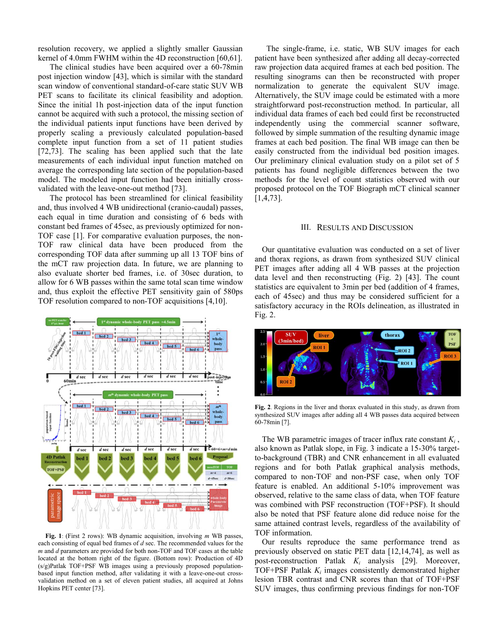resolution recovery, we applied a slightly smaller Gaussian kernel of 4.0mm FWHM within the 4D reconstruction [60,61].

The clinical studies have been acquired over a 60-78min post injection window [43], which is similar with the standard scan window of conventional standard-of-care static SUV WB PET scans to facilitate its clinical feasibility and adoption. Since the initial 1h post-injection data of the input function cannot be acquired with such a protocol, the missing section of the individual patients input functions have been derived by properly scaling a previously calculated population-based complete input function from a set of 11 patient studies [72,73]. The scaling has been applied such that the late measurements of each individual input function matched on average the corresponding late section of the population-based model. The modeled input function had been initially crossvalidated with the leave-one-out method [73].

The protocol has been streamlined for clinical feasibility and, thus involved 4 WB unidirectional (cranio-caudal) passes, each equal in time duration and consisting of 6 beds with constant bed frames of 45sec, as previously optimized for non-TOF case [1]. For comparative evaluation purposes, the non-TOF raw clinical data have been produced from the corresponding TOF data after summing up all 13 TOF bins of the mCT raw projection data. In future, we are planning to also evaluate shorter bed frames, i.e. of 30sec duration, to allow for 6 WB passes within the same total scan time window and, thus exploit the effective PET sensitivity gain of 580ps TOF resolution compared to non-TOF acquisitions [4,10].



**Fig. 1**: (First 2 rows): WB dynamic acquisition, involving *m* WB passes, each consisting of equal bed frames of *d* sec. The recommended values for the *m* and *d* parameters are provided for both non-TOF and TOF cases at the table located at the bottom right of the figure. (Bottom row): Production of 4D (s/g)Patlak TOF+PSF WB images using a previously proposed populationbased input function method, after validating it with a leave-one-out crossvalidation method on a set of eleven patient studies, all acquired at Johns Hopkins PET center [73].

The single-frame, i.e. static, WB SUV images for each patient have been synthesized after adding all decay-corrected raw projection data acquired frames at each bed position. The resulting sinograms can then be reconstructed with proper normalization to generate the equivalent SUV image. Alternatively, the SUV image could be estimated with a more straightforward post-reconstruction method. In particular, all individual data frames of each bed could first be reconstructed independently using the commercial scanner software, followed by simple summation of the resulting dynamic image frames at each bed position. The final WB image can then be easily constructed from the individual bed position images. Our preliminary clinical evaluation study on a pilot set of 5 patients has found negligible differences between the two methods for the level of count statistics observed with our proposed protocol on the TOF Biograph mCT clinical scanner [1,4,73].

#### III. RESULTS AND DISCUSSION

Our quantitative evaluation was conducted on a set of liver and thorax regions, as drawn from synthesized SUV clinical PET images after adding all 4 WB passes at the projection data level and then reconstructing (Fig. 2) [43]. The count statistics are equivalent to 3min per bed (addition of 4 frames, each of 45sec) and thus may be considered sufficient for a satisfactory accuracy in the ROIs delineation, as illustrated in Fig. 2.



**Fig. 2**. Regions in the liver and thorax evaluated in this study, as drawn from synthesized SUV images after adding all 4 WB passes data acquired between 60-78min [7].

The WB parametric images of tracer influx rate constant  $K_i$ , also known as Patlak slope, in Fig. 3 indicate a 15-30% targetto-background (TBR) and CNR enhancement in all evaluated regions and for both Patlak graphical analysis methods, compared to non-TOF and non-PSF case, when only TOF feature is enabled. An additional 5-10% improvement was observed, relative to the same class of data, when TOF feature was combined with PSF reconstruction (TOF+PSF). It should also be noted that PSF feature alone did reduce noise for the same attained contrast levels, regardless of the availability of TOF information.

Our results reproduce the same performance trend as previously observed on static PET data [12,14,74], as well as post-reconstruction Patlak *Ki* analysis [29]. Moreover, TOF+PSF Patlak *Ki* images consistently demonstrated higher lesion TBR contrast and CNR scores than that of TOF+PSF SUV images, thus confirming previous findings for non-TOF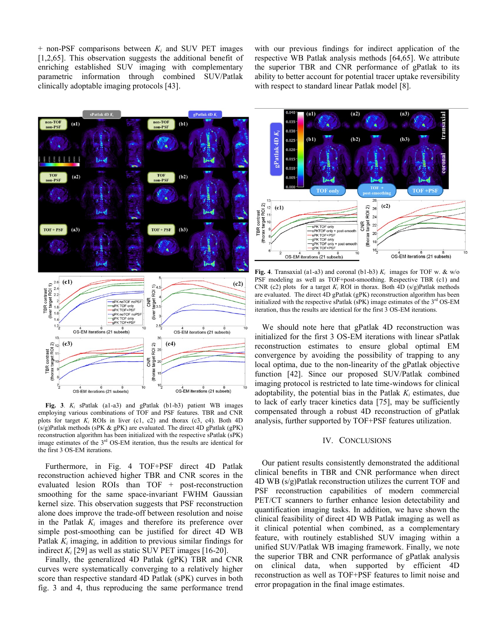$+$  non-PSF comparisons between  $K_i$  and SUV PET images [1,2,65]. This observation suggests the additional benefit of enriching established SUV imaging with complementary parametric information through combined SUV/Patlak clinically adoptable imaging protocols [43].

with our previous findings for indirect application of the respective WB Patlak analysis methods [64,65]. We attribute the superior TBR and CNR performance of gPatlak to its ability to better account for potential tracer uptake reversibility with respect to standard linear Patlak model [8].



**Fig. 3**. *Ki* sPatlak (a1-a3) and gPatlak (b1-b3) patient WB images employing various combinations of TOF and PSF features. TBR and CNR plots for target *Ki* ROIs in liver (c1, c2) and thorax (c3, c4). Both 4D (s/g)Patlak methods (sPK & gPK) are evaluated. The direct 4D gPatlak (gPK) reconstruction algorithm has been initialized with the respective sPatlak (sPK) image estimates of the 3<sup>rd</sup> OS-EM iteration, thus the results are identical for the first 3 OS-EM iterations.

Furthermore, in Fig. 4 TOF+PSF direct 4D Patlak reconstruction achieved higher TBR and CNR scores in the evaluated lesion ROIs than  $TOF + post-reconstruction$ smoothing for the same space-invariant FWHM Gaussian kernel size. This observation suggests that PSF reconstruction alone does improve the trade-off between resolution and noise in the Patlak  $K_i$  images and therefore its preference over simple post-smoothing can be justified for direct 4D WB Patlak *Ki* imaging, in addition to previous similar findings for indirect  $K_i$  [29] as well as static SUV PET images [16-20].

Finally, the generalized 4D Patlak (gPK) TBR and CNR curves were systematically converging to a relatively higher score than respective standard 4D Patlak (sPK) curves in both fig. 3 and 4, thus reproducing the same performance trend



**Fig. 4**. Transaxial (a1-a3) and coronal (b1-b3)  $K_i$  images for TOF w. & w/o PSF modeling as well as TOF+post-smoothing. Respective TBR (c1) and CNR (c2) plots for a target  $K_i$  ROI in thorax. Both 4D (s/g)Patlak methods are evaluated. The direct 4D gPatlak (gPK) reconstruction algorithm has been initialized with the respective sPatlak (sPK) image estimates of the  $3<sup>rd</sup>$  OS-EM iteration, thus the results are identical for the first 3 OS-EM iterations.

We should note here that gPatlak 4D reconstruction was initialized for the first 3 OS-EM iterations with linear sPatlak reconstruction estimates to ensure global optimal EM convergence by avoiding the possibility of trapping to any local optima, due to the non-linearity of the gPatlak objective function [42]. Since our proposed SUV/Patlak combined imaging protocol is restricted to late time-windows for clinical adoptability, the potential bias in the Patlak  $K_i$  estimates, due to lack of early tracer kinetics data [75], may be sufficiently compensated through a robust 4D reconstruction of gPatlak analysis, further supported by TOF+PSF features utilization.

#### IV. CONCLUSIONS

Our patient results consistently demonstrated the additional clinical benefits in TBR and CNR performance when direct 4D WB (s/g)Patlak reconstruction utilizes the current TOF and PSF reconstruction capabilities of modern commercial PET/CT scanners to further enhance lesion detectability and quantification imaging tasks. In addition, we have shown the clinical feasibility of direct 4D WB Patlak imaging as well as it clinical potential when combined, as a complementary feature, with routinely established SUV imaging within a unified SUV/Patlak WB imaging framework. Finally, we note the superior TBR and CNR performance of gPatlak analysis on clinical data, when supported by efficient 4D reconstruction as well as TOF+PSF features to limit noise and error propagation in the final image estimates.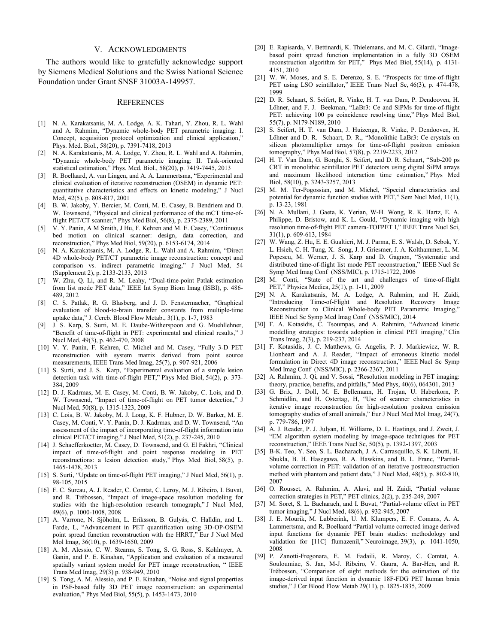### V. ACKNOWLEDGMENTS

The authors would like to gratefully acknowledge support by Siemens Medical Solutions and the Swiss National Science Foundation under Grant SNSF 31003A-149957.

### **REFERENCES**

- [1] N. A. Karakatsanis, M. A. Lodge, A. K. Tahari, Y. Zhou, R. L. Wahl and A. Rahmim, "Dynamic whole-body PET parametric imaging: I. Concept, acquisition protocol optimization and clinical application," Phys. Med. Biol., 58(20), p. 7391-7418, 2013
- [2] N. A. Karakatsanis, M. A. Lodge, Y. Zhou, R. L. Wahl and A. Rahmim, "Dynamic whole-body PET parametric imaging: II. Task-oriented statistical estimation," Phys. Med. Biol., 58(20), p. 7419-7445, 2013
- R. Boellaard, A. van Lingen, and A. A. Lammertsma, "Experimental and clinical evaluation of iterative reconstruction (OSEM) in dynamic PET: quantitative characteristics and effects on kinetic modeling," J Nucl Med, 42(5), p. 808-817, 2001
- [4] B. W. Jakoby, Y. Bercier, M. Conti, M. E. Casey, B. Bendriem and D. W. Townsend, "Physical and clinical performance of the mCT time-offlight PET/CT scanner," Phys Med Biol, 56(8), p. 2375-2389, 2011
- [5] V. Y. Panin, A M Smith, J Hu, F. Kehren and M. E. Casey, "Continuous bed motion on clinical scanner: design, data correction, and reconstruction," Phys Med Biol, 59(20), p. 6153-6174, 2014
- [6] N. A. Karakatsanis, M. A. Lodge, R. L. Wahl and A. Rahmim, "Direct 4D whole-body PET/CT parametric image reconstruction: concept and comparison vs. indirect parametric imaging," J Nucl Med, 54 (Supplement 2), p. 2133-2133, 2013
- W. Zhu, Q. Li, and R. M. Leahy, "Dual-time-point Patlak estimation from list mode PET data," IEEE Int Symp Biom Imag (ISBI), p. 486- 489, 2012
- [8] C. S. Patlak, R. G. Blasberg, and J. D. Fenstermacher, "Graphical evaluation of blood-to-brain transfer constants from multiple-time uptake data," J. Cereb. Blood Flow Metab., 3(1), p. 1-7, 1983
- [9] J. S. Karp, S. Surti, M. E. Daube-Witherspoon and G. Muehllehner, "Benefit of time-of-flight in PET: experimental and clinical results," J Nucl Med, 49(3), p. 462-470, 2008
- [10] V. Y. Panin, F. Kehren, C. Michel and M. Casey, "Fully 3-D PET reconstruction with system matrix derived from point source measurements, IEEE Trans Med Imag, 25(7), p. 907-921, 2006
- [11] S. Surti, and J. S. Karp, "Experimental evaluation of a simple lesion detection task with time-of-flight PET," Phys Med Biol, 54(2), p. 373- 384, 2009
- [12] D. J. Kadrmas, M. E. Casey, M. Conti, B. W. Jakoby, C. Lois, and D. W. Townsend, "Impact of time-of-flight on PET tumor detection," J Nucl Med, 50(8), p. 1315-1323, 2009
- [13] C. Lois, B. W. Jakoby, M. J. Long, K. F. Hubner, D. W. Barker, M. E. Casey, M. Conti, V. Y. Panin, D. J. Kadrmas, and D. W. Townsend, "An assessment of the impact of incorporating time-of-flight information into clinical PET/CT imaging," J Nucl Med, 51(2), p. 237-245, 2010
- [14] J. Schaefferkoetter, M. Casey, D. Townsend, and G. El Fakhri, "Clinical impact of time-of-flight and point response modeling in PET reconstructions: a lesion detection study," Phys Med Biol, 58(5), p. 1465-1478, 2013
- [15] S. Surti, "Update on time-of-flight PET imaging," J Nucl Med, 56(1), p. 98-105, 2015
- [16] F. C. Sureau, A. J. Reader, C. Comtat, C. Leroy, M. J. Ribeiro, I. Buvat, and R. Trébossen, "Impact of image-space resolution modeling for studies with the high-resolution research tomograph," J Nucl Med, 49(6), p. 1000-1008, 2008
- [17] A. Varrone, N. Sjöholm, L. Eriksson, B. Gulyás, C. Halldin, and L. Farde, L, "Advancement in PET quantification using 3D-OP-OSEM point spread function reconstruction with the HRRT," Eur J Nucl Med Mol Imag, 36(10), p. 1639-1650, 2009
- [18] A. M. Alessio, C. W. Stearns, S. Tong, S. G. Ross, S. Kohlmyer, A. Ganin, and P. E. Kinahan, "Application and evaluation of a measured spatially variant system model for PET image reconstruction, " IEEE Trans Med Imag, 29(3) p. 938-949, 2010
- [19] S. Tong, A. M. Alessio, and P. E. Kinahan, "Noise and signal properties in PSF-based fully 3D PET image reconstruction: an experimental evaluation," Phys Med Biol, 55(5), p. 1453-1473, 2010
- [20] E. Rapisarda, V. Bettinardi, K. Thielemans, and M. C. Gilardi, "Imagebased point spread function implementation in a fully 3D OSEM reconstruction algorithm for PET," Phys Med Biol, 55(14), p. 4131- 4151, 2010
- [21] W. W. Moses, and S. E. Derenzo, S. E. "Prospects for time-of-flight PET using LSO scintillator," IEEE Trans Nucl Sc, 46(3), p. 474-478, 1999
- [22] D. R. Schaart, S. Seifert, R. Vinke, H. T. van Dam, P. Dendooven, H. Löhner, and F. J. Beekman, "LaBr3: Ce and SiPMs for time-of-flight PET: achieving 100 ps coincidence resolving time," Phys Med Biol, 55(7), p. N179-N189, 2010
- [23] S. Seifert, H. T. van Dam, J. Huizenga, R. Vinke, P. Dendooven, H. Löhner and D. R. Schaart, D. R., "Monolithic LaBr3: Ce crystals on silicon photomultiplier arrays for time-of-flight positron emission tomography," Phys Med Biol, 57(8), p. 2219-2233, 2012
- [24] H. T. Van Dam, G. Borghi, S. Seifert, and D. R. Schaart, "Sub-200 ps CRT in monolithic scintillator PET detectors using digital SiPM arrays and maximum likelihood interaction time estimation," Phys Med Biol, 58(10), p. 3243-3257, 2013
- [25] M. M. Ter-Pogossian, and M. Michel, "Special characteristics and potential for dynamic function studies with PET," Sem Nucl Med, 11(1), p. 13-23, 1981
- [26] N. A. Mullani, J. Gaeta, K. Yerian, W-H. Wong, R. K. Hartz, E. A. Philippe, D. Bristow, and K. L. Gould, "Dynamic imaging with high resolution time-of-flight PET camera-TOFPET I," IEEE Trans Nucl Sci, 31(1), p. 609-613, 1984
- [27] W. Wang, Z. Hu, E. E. Gualtieri, M. J. Parma, E. S. Walsh, D. Sebok, Y. L. Hsieh, C. H. Tung, X. Song, J. J. Griesmer, J. A. Kolthammer, L. M. Popescu, M. Werner, J. S. Karp and D. Gagnon, "Systematic and distributed time-of-flight list mode PET reconstruction," IEEE Nucl Sc Symp Med Imag Conf (NSS/MIC), p. 1715-1722, 2006
- [28] M. Conti, "State of the art and challenges of time-of-flight PET," Physica Medica, 25(1), p. 1-11, 2009
- [29] N. A. Karakatsanis, M. A. Lodge, A. Rahmim, and H. Zaidi, "Introducing Time-of-Flight and Resolution Recovery Image Reconstruction to Clinical Whole-body PET Parametric Imaging," IEEE Nucl Sc Symp Med Imag Conf (NSS/MIC), 2014
- [30] F. A. Kotasidis, C. Tsoumpas, and A. Rahmim, "Advanced kinetic modelling strategies: towards adoption in clinical PET imaging," Clin Trans Imag, 2(3), p. 219-237, 2014
- [31] F. Kotasidis, J. C. Matthews, G. Angelis, P. J. Markiewicz, W. R. Lionheart and A. J. Reader, "Impact of erroneous kinetic model formulation in Direct 4D image reconstruction," IEEE Nucl Sc Symp Med Imag Conf (NSS/MIC), p. 2366-2367, 2011
- [32] A. Rahmim, J. Qi, and V. Sossi, "Resolution modeling in PET imaging: theory, practice, benefits, and pitfalls," Med Phys, 40(6), 064301, 2013
- [33] G. Brix, J. Doll, M. E. Bellemann, H. Trojan, U. Haberkorn, P. Schmidlin, and H. Ostertag, H, "Use of scanner characteristics in iterative image reconstruction for high-resolution positron emission tomography studies of small animals," Eur J Nucl Med Mol Imag, 24(7), p. 779-786, 1997
- [34] A. J. Reader, P. J. Julyan, H. Williams, D. L. Hastings, and J. Zweit, J. "EM algorithm system modeling by image-space techniques for PET reconstruction," IEEE Trans Nucl Sc, 50(5), p. 1392-1397, 2003
- [35] B-K. Teo, Y. Seo, S. L. Bacharach, J. A. Carrasquillo, S. K. Libutti, H. Shukla, B. H. Hasegawa, R. A. Hawkins, and B. L. Franc, "Partialvolume correction in PET: validation of an iterative postreconstruction method with phantom and patient data," J Nucl Med, 48(5), p. 802-810, 2007
- [36] O. Rousset, A. Rahmim, A. Alavi, and H. Zaidi, "Partial volume correction strategies in PET," PET clinics, 2(2), p. 235-249, 2007
- [37] M. Soret, S. L. Bacharach, and I. Buvat, "Partial-volume effect in PET tumor imaging," J Nucl Med, 48(6), p. 932-945, 2007
- [38] J. E. Mourik, M. Lubberink, U. M. Klumpers, E. F. Comans, A. A. Lammertsma, and R. Boellaard "Partial volume corrected image derived input functions for dynamic PET brain studies: methodology and validation for [11C] flumazenil," Neuroimage, 39(3), p. 1041-1050, 2008
- [39] P. Zanotti-Fregonara, E. M. Fadaili, R. Maroy, C. Comtat, A. Souloumiac, S. Jan, M-J. Ribeiro, V. Gaura, A. Bar-Hen, and R. Trébossen, "Comparison of eight methods for the estimation of the image-derived input function in dynamic 18F-FDG PET human brain studies," J Cer Blood Flow Metab 29(11), p. 1825-1835, 2009